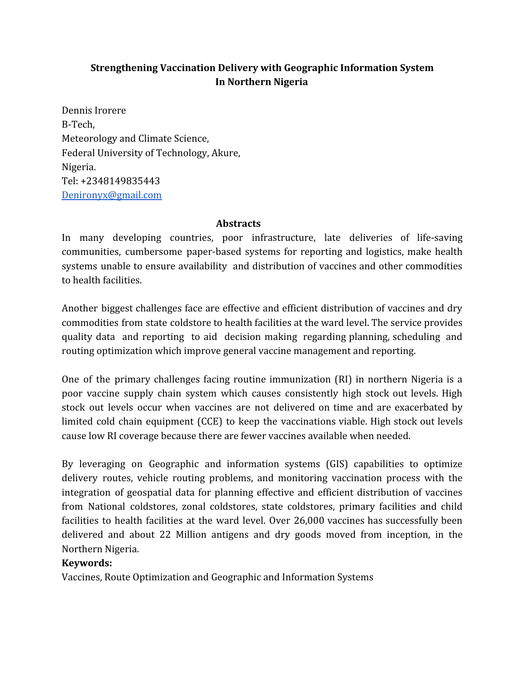# **Strengthening Vaccination Delivery with Geographic Information System In Northern Nigeria**

Dennis Irorere B-Tech, Meteorology and Climate Science, Federal University of Technology, Akure, Nigeria. Tel: +2348149835443 [Denironyx@gmail.com](mailto:Denironyx@gmail.com)

#### **Abstracts**

In many developing countries, poor infrastructure, late deliveries of life-saving communities, cumbersome paper-based systems for reporting and logistics, make health systems unable to ensure availability and distribution of vaccines and other commodities to health facilities.

Another biggest challenges face are effective and efficient distribution of vaccines and dry commodities from state coldstore to health facilities at the ward level. The service provides quality data and reporting to aid decision making regarding planning, scheduling and routing optimization which improve general vaccine management and reporting.

One of the primary challenges facing routine immunization (RI) in northern Nigeria is a poor vaccine supply chain system which causes consistently high stock out levels. High stock out levels occur when vaccines are not delivered on time and are exacerbated by limited cold chain equipment (CCE) to keep the vaccinations viable. High stock out levels cause low RI coverage because there are fewer vaccines available when needed.

By leveraging on Geographic and information systems (GIS) capabilities to optimize delivery routes, vehicle routing problems, and monitoring vaccination process with the integration of geospatial data for planning effective and efficient distribution of vaccines from National coldstores, zonal coldstores, state coldstores, primary facilities and child facilities to health facilities at the ward level. Over 26,000 vaccines has successfully been delivered and about 22 Million antigens and dry goods moved from inception, in the Northern Nigeria.

#### **Keywords:**

Vaccines, Route Optimization and Geographic and Information Systems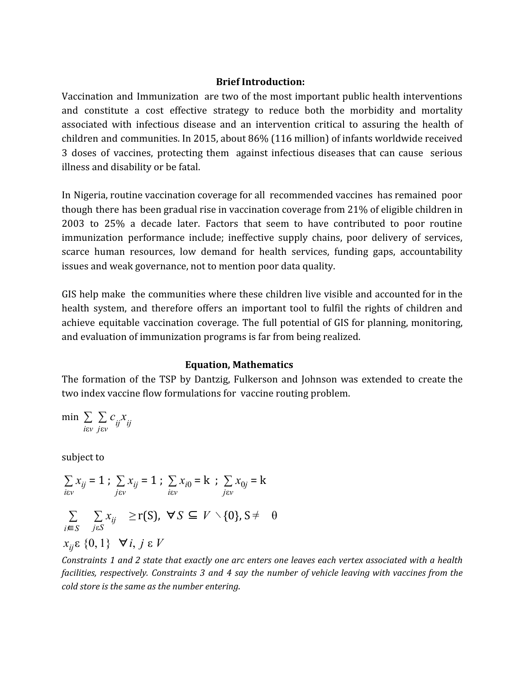#### **Brief Introduction:**

Vaccination and Immunization are two of the most important public health interventions and constitute a cost effective strategy to reduce both the morbidity and mortality associated with infectious disease and an intervention critical to assuring the health of children and communities. In 2015, about 86% (116 million) of infants worldwide received 3 doses of vaccines, protecting them against infectious diseases that can cause serious illness and disability or be fatal.

In Nigeria, routine vaccination coverage for all recommended vaccines has remained poor though there has been gradual rise in vaccination coverage from 21% of eligible children in 2003 to 25% a decade later. Factors that seem to have contributed to poor routine immunization performance include; ineffective supply chains, poor delivery of services, scarce human resources, low demand for health services, funding gaps, accountability issues and weak governance, not to mention poor data quality.

GIS help make the communities where these children live visible and accounted for in the health system, and therefore offers an important tool to fulfil the rights of children and achieve equitable vaccination coverage. The full potential of GIS for planning, monitoring, and evaluation of immunization programs is far from being realized.

#### **Equation, Mathematics**

The formation of the TSP by Dantzig, Fulkerson and Johnson was extended to create the two index vaccine flow formulations for vaccine routing problem.

$$
\min \sum_{i \in v} \sum_{j \in v} c_{ij} x_{ij}
$$

subject to

$$
\sum_{i\in v} x_{ij} = 1; \sum_{j\in v} x_{ij} = 1; \sum_{i\in v} x_{i0} = k; \sum_{j\in v} x_{0j} = k
$$
  

$$
\sum_{i\in S} \sum_{j\in S} x_{ij} \ge r(S), \forall S \subseteq V \setminus \{0\}, S \neq \theta
$$
  

$$
x_{ij} \in \{0, 1\} \quad \forall i, j \in V
$$

Constraints 1 and 2 state that exactly one arc enters one leaves each vertex associated with a health *facilities, respectively. Constraints 3 and 4 say the number of vehicle leaving with vaccines from the cold store is the same as the number entering.*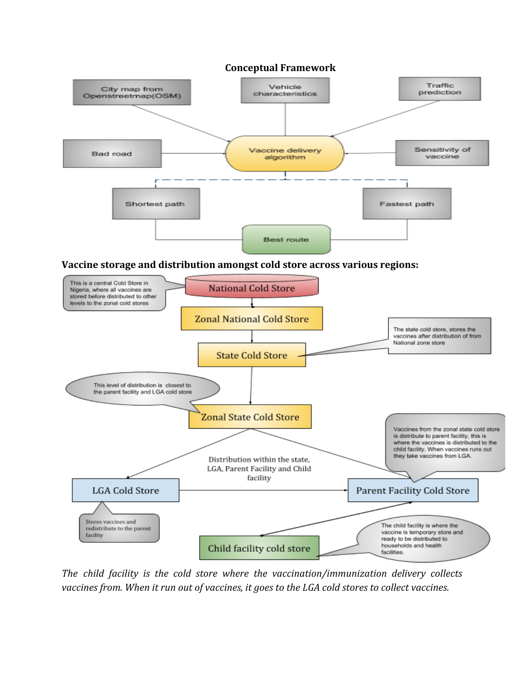

*The child facility is the cold store where the vaccination/immunization delivery collects vaccines from. When it run out of vaccines, it goes to the LGA cold stores to collect vaccines.*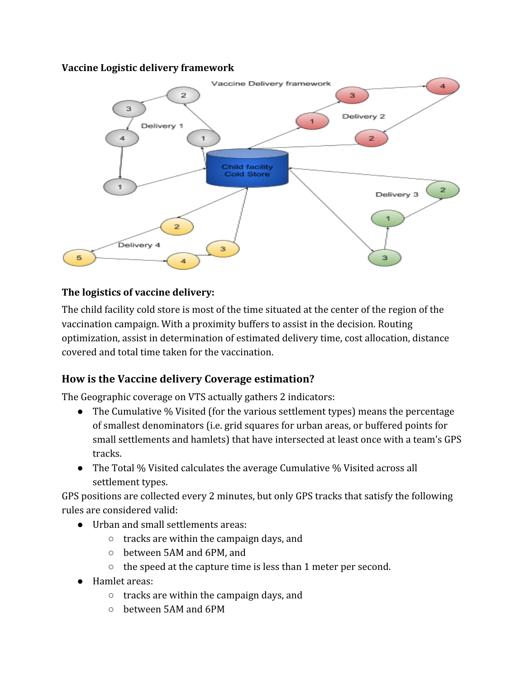## **Vaccine Logistic delivery framework**



# **The logistics of vaccine delivery:**

The child facility cold store is most of the time situated at the center of the region of the vaccination campaign. With a proximity buffers to assist in the decision. Routing optimization, assist in determination of estimated delivery time, cost allocation, distance covered and total time taken for the vaccination.

# **How is the Vaccine delivery Coverage estimation?**

The Geographic coverage on VTS actually gathers 2 indicators:

- The Cumulative % Visited (for the various settlement types) means the percentage of smallest denominators (i.e. grid squares for urban areas, or buffered points for small settlements and hamlets) that have intersected at least once with a team's GPS tracks.
- The Total % Visited calculates the average Cumulative % Visited across all settlement types.

GPS positions are collected every 2 minutes, but only GPS tracks that satisfy the following rules are considered valid:

- Urban and small settlements areas:
	- tracks are within the campaign days, and
	- between 5AM and 6PM, and
	- the speed at the capture time is less than 1 meter per second.
- Hamlet areas:
	- tracks are within the campaign days, and
	- between 5AM and 6PM